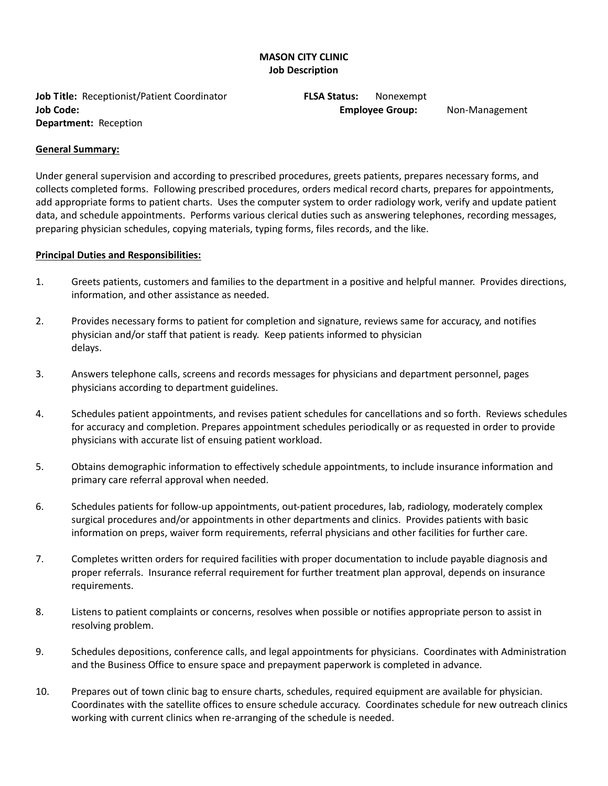## **MASON CITY CLINIC Job Description**

**Job Title:** Receptionist/Patient Coordinator **FLSA Status:** Nonexempt **Job Code: Employee Group:** Non-Management **Department:** Reception

#### **General Summary:**

Under general supervision and according to prescribed procedures, greets patients, prepares necessary forms, and collects completed forms. Following prescribed procedures, orders medical record charts, prepares for appointments, add appropriate forms to patient charts. Uses the computer system to order radiology work, verify and update patient data, and schedule appointments. Performs various clerical duties such as answering telephones, recording messages, preparing physician schedules, copying materials, typing forms, files records, and the like.

#### **Principal Duties and Responsibilities:**

- 1. Greets patients, customers and families to the department in a positive and helpful manner. Provides directions, information, and other assistance as needed.
- 2. Provides necessary forms to patient for completion and signature, reviews same for accuracy, and notifies physician and/or staff that patient is ready. Keep patients informed to physician delays.
- 3. Answers telephone calls, screens and records messages for physicians and department personnel, pages physicians according to department guidelines.
- 4. Schedules patient appointments, and revises patient schedules for cancellations and so forth. Reviews schedules for accuracy and completion. Prepares appointment schedules periodically or as requested in order to provide physicians with accurate list of ensuing patient workload.
- 5. Obtains demographic information to effectively schedule appointments, to include insurance information and primary care referral approval when needed.
- 6. Schedules patients for follow-up appointments, out-patient procedures, lab, radiology, moderately complex surgical procedures and/or appointments in other departments and clinics. Provides patients with basic information on preps, waiver form requirements, referral physicians and other facilities for further care.
- 7. Completes written orders for required facilities with proper documentation to include payable diagnosis and proper referrals. Insurance referral requirement for further treatment plan approval, depends on insurance requirements.
- 8. Listens to patient complaints or concerns, resolves when possible or notifies appropriate person to assist in resolving problem.
- 9. Schedules depositions, conference calls, and legal appointments for physicians. Coordinates with Administration and the Business Office to ensure space and prepayment paperwork is completed in advance.
- 10. Prepares out of town clinic bag to ensure charts, schedules, required equipment are available for physician. Coordinates with the satellite offices to ensure schedule accuracy. Coordinates schedule for new outreach clinics working with current clinics when re-arranging of the schedule is needed.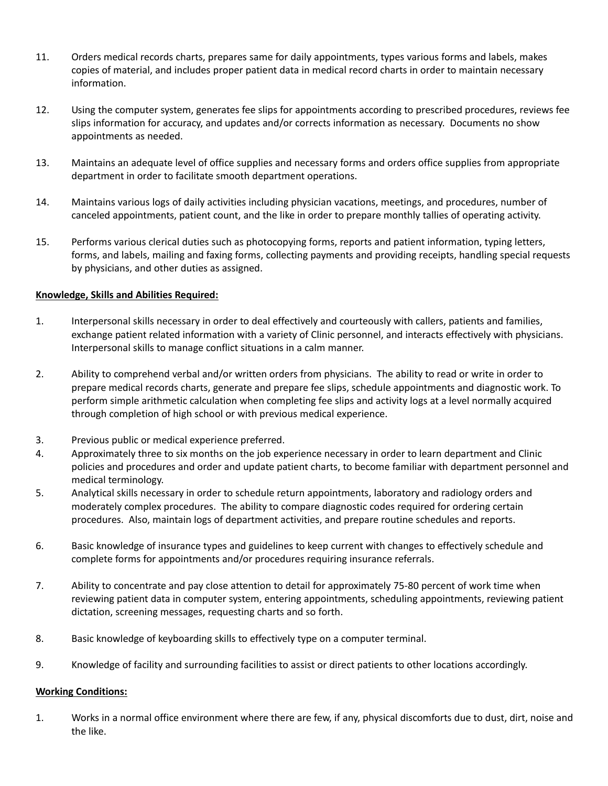- 11. Orders medical records charts, prepares same for daily appointments, types various forms and labels, makes copies of material, and includes proper patient data in medical record charts in order to maintain necessary information.
- 12. Using the computer system, generates fee slips for appointments according to prescribed procedures, reviews fee slips information for accuracy, and updates and/or corrects information as necessary. Documents no show appointments as needed.
- 13. Maintains an adequate level of office supplies and necessary forms and orders office supplies from appropriate department in order to facilitate smooth department operations.
- 14. Maintains various logs of daily activities including physician vacations, meetings, and procedures, number of canceled appointments, patient count, and the like in order to prepare monthly tallies of operating activity.
- 15. Performs various clerical duties such as photocopying forms, reports and patient information, typing letters, forms, and labels, mailing and faxing forms, collecting payments and providing receipts, handling special requests by physicians, and other duties as assigned.

### **Knowledge, Skills and Abilities Required:**

- 1. Interpersonal skills necessary in order to deal effectively and courteously with callers, patients and families, exchange patient related information with a variety of Clinic personnel, and interacts effectively with physicians. Interpersonal skills to manage conflict situations in a calm manner.
- 2. Ability to comprehend verbal and/or written orders from physicians. The ability to read or write in order to prepare medical records charts, generate and prepare fee slips, schedule appointments and diagnostic work. To perform simple arithmetic calculation when completing fee slips and activity logs at a level normally acquired through completion of high school or with previous medical experience.
- 3. Previous public or medical experience preferred.
- 4. Approximately three to six months on the job experience necessary in order to learn department and Clinic policies and procedures and order and update patient charts, to become familiar with department personnel and medical terminology.
- 5. Analytical skills necessary in order to schedule return appointments, laboratory and radiology orders and moderately complex procedures. The ability to compare diagnostic codes required for ordering certain procedures. Also, maintain logs of department activities, and prepare routine schedules and reports.
- 6. Basic knowledge of insurance types and guidelines to keep current with changes to effectively schedule and complete forms for appointments and/or procedures requiring insurance referrals.
- 7. Ability to concentrate and pay close attention to detail for approximately 75-80 percent of work time when reviewing patient data in computer system, entering appointments, scheduling appointments, reviewing patient dictation, screening messages, requesting charts and so forth.
- 8. Basic knowledge of keyboarding skills to effectively type on a computer terminal.
- 9. Knowledge of facility and surrounding facilities to assist or direct patients to other locations accordingly.

### **Working Conditions:**

1. Works in a normal office environment where there are few, if any, physical discomforts due to dust, dirt, noise and the like.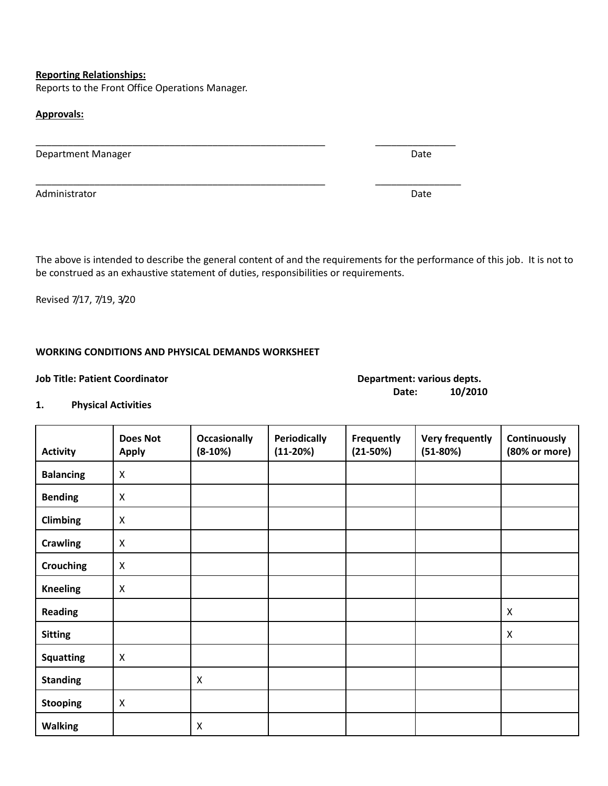#### **Reporting Relationships:**

Reports to the Front Office Operations Manager.

#### **Approvals:**

Department Manager and Date Department Manager

Administrator Date **Date of the Contract of the Contract of the Contract of the Contract of Contract of the Contract of Contract of the Contract of the Contract of the Contract of the Contract of the Contract of the Contra** 

The above is intended to describe the general content of and the requirements for the performance of this job. It is not to be construed as an exhaustive statement of duties, responsibilities or requirements.

\_\_\_\_\_\_\_\_\_\_\_\_\_\_\_\_\_\_\_\_\_\_\_\_\_\_\_\_\_\_\_\_\_\_\_\_\_\_\_\_\_\_\_\_\_\_\_\_\_\_\_\_\_\_ \_\_\_\_\_\_\_\_\_\_\_\_\_\_\_

\_\_\_\_\_\_\_\_\_\_\_\_\_\_\_\_\_\_\_\_\_\_\_\_\_\_\_\_\_\_\_\_\_\_\_\_\_\_\_\_\_\_\_\_\_\_\_\_\_\_\_\_\_\_ \_\_\_\_\_\_\_\_\_\_\_\_\_\_\_\_

Revised 7/17, 7/19, 3/20

#### **WORKING CONDITIONS AND PHYSICAL DEMANDS WORKSHEET**

#### **Job Title: Patient Coordinator Department: various depts.**

# **Date: 10/2010**

## **1. Physical Activities**

| <b>Activity</b>  | <b>Does Not</b><br><b>Apply</b> | <b>Occasionally</b><br>$(8-10%)$ | Periodically<br>$(11-20%)$ | Frequently<br>$(21-50%)$ | <b>Very frequently</b><br>$(51-80%)$ | Continuously<br>(80% or more) |
|------------------|---------------------------------|----------------------------------|----------------------------|--------------------------|--------------------------------------|-------------------------------|
| <b>Balancing</b> | X                               |                                  |                            |                          |                                      |                               |
| <b>Bending</b>   | X                               |                                  |                            |                          |                                      |                               |
| <b>Climbing</b>  | X                               |                                  |                            |                          |                                      |                               |
| <b>Crawling</b>  | $\boldsymbol{\mathsf{X}}$       |                                  |                            |                          |                                      |                               |
| <b>Crouching</b> | $\mathsf{X}$                    |                                  |                            |                          |                                      |                               |
| <b>Kneeling</b>  | $\boldsymbol{\mathsf{X}}$       |                                  |                            |                          |                                      |                               |
| <b>Reading</b>   |                                 |                                  |                            |                          |                                      | X                             |
| <b>Sitting</b>   |                                 |                                  |                            |                          |                                      | X                             |
| <b>Squatting</b> | $\boldsymbol{\mathsf{X}}$       |                                  |                            |                          |                                      |                               |
| <b>Standing</b>  |                                 | $\boldsymbol{\mathsf{X}}$        |                            |                          |                                      |                               |
| <b>Stooping</b>  | $\boldsymbol{\mathsf{X}}$       |                                  |                            |                          |                                      |                               |
| <b>Walking</b>   |                                 | X                                |                            |                          |                                      |                               |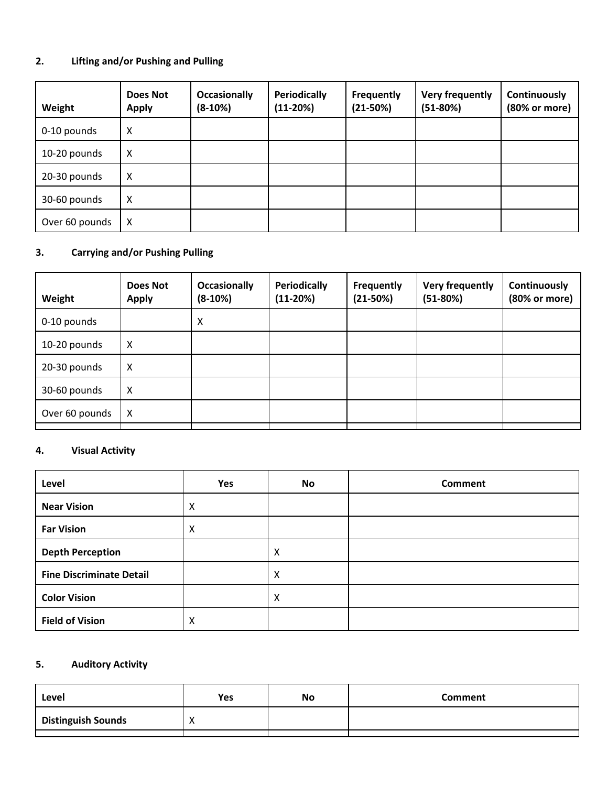## **2. Lifting and/or Pushing and Pulling**

| Weight         | <b>Does Not</b><br><b>Apply</b> | <b>Occasionally</b><br>$(8-10%)$ | <b>Periodically</b><br>$(11-20%)$ | Frequently<br>$(21-50%)$ | Very frequently<br>$(51-80%)$ | Continuously<br>(80% or more) |
|----------------|---------------------------------|----------------------------------|-----------------------------------|--------------------------|-------------------------------|-------------------------------|
| 0-10 pounds    | X                               |                                  |                                   |                          |                               |                               |
| 10-20 pounds   | X                               |                                  |                                   |                          |                               |                               |
| 20-30 pounds   | X                               |                                  |                                   |                          |                               |                               |
| 30-60 pounds   | X                               |                                  |                                   |                          |                               |                               |
| Over 60 pounds | X                               |                                  |                                   |                          |                               |                               |

## **3. Carrying and/or Pushing Pulling**

| <b>Does Not</b><br><b>Apply</b> | <b>Occasionally</b><br>$(8-10%)$ | Periodically<br>$(11-20%)$ | <b>Frequently</b><br>$(21-50%)$ | <b>Very frequently</b><br>$(51-80%)$ | Continuously<br>(80% or more) |
|---------------------------------|----------------------------------|----------------------------|---------------------------------|--------------------------------------|-------------------------------|
|                                 | X                                |                            |                                 |                                      |                               |
| X                               |                                  |                            |                                 |                                      |                               |
| X                               |                                  |                            |                                 |                                      |                               |
| X                               |                                  |                            |                                 |                                      |                               |
| X                               |                                  |                            |                                 |                                      |                               |
|                                 |                                  |                            |                                 |                                      |                               |

## **4. Visual Activity**

| Level                           | Yes | No | <b>Comment</b> |
|---------------------------------|-----|----|----------------|
| <b>Near Vision</b>              | X   |    |                |
| <b>Far Vision</b>               | X   |    |                |
| <b>Depth Perception</b>         |     | X  |                |
| <b>Fine Discriminate Detail</b> |     | X  |                |
| <b>Color Vision</b>             |     | x  |                |
| <b>Field of Vision</b>          | X   |    |                |

# **5. Auditory Activity**

| Level                     | Yes      | No | <b>Comment</b> |
|---------------------------|----------|----|----------------|
| <b>Distinguish Sounds</b> | $\cdots$ |    |                |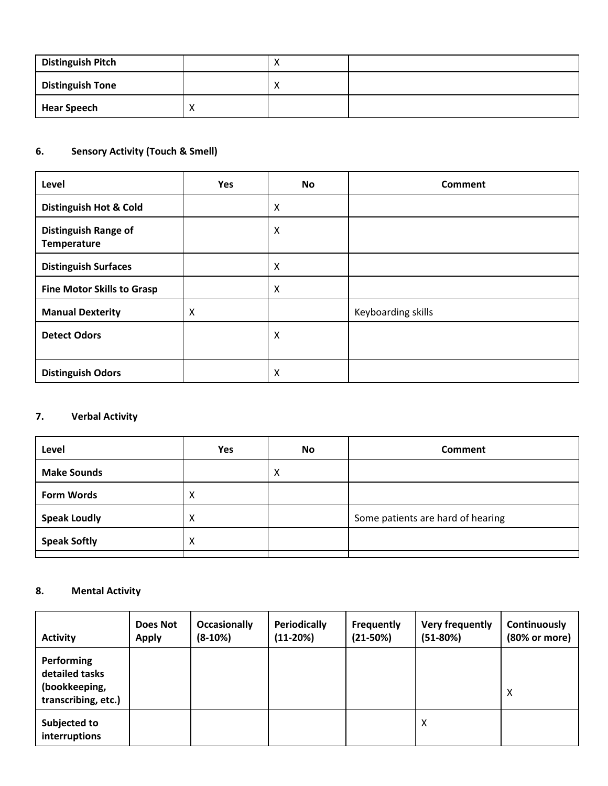| <b>Distinguish Pitch</b> | $\lambda$ |  |
|--------------------------|-----------|--|
| <b>Distinguish Tone</b>  |           |  |
| <b>Hear Speech</b>       |           |  |

## **6. Sensory Activity (Touch & Smell)**

| Level                                             | Yes | No | <b>Comment</b>     |
|---------------------------------------------------|-----|----|--------------------|
| <b>Distinguish Hot &amp; Cold</b>                 |     | X  |                    |
| <b>Distinguish Range of</b><br><b>Temperature</b> |     | Χ  |                    |
| <b>Distinguish Surfaces</b>                       |     | X  |                    |
| <b>Fine Motor Skills to Grasp</b>                 |     | X  |                    |
| <b>Manual Dexterity</b>                           | X   |    | Keyboarding skills |
| <b>Detect Odors</b>                               |     | Χ  |                    |
| <b>Distinguish Odors</b>                          |     | X  |                    |

# **7. Verbal Activity**

| Level               | Yes | <b>No</b> | <b>Comment</b>                    |
|---------------------|-----|-----------|-----------------------------------|
| <b>Make Sounds</b>  |     | х         |                                   |
| <b>Form Words</b>   | X   |           |                                   |
| <b>Speak Loudly</b> | X   |           | Some patients are hard of hearing |
| <b>Speak Softly</b> | X   |           |                                   |
|                     |     |           |                                   |

## **8. Mental Activity**

| <b>Activity</b>                                                      | <b>Does Not</b><br><b>Apply</b> | <b>Occasionally</b><br>$(8-10%)$ | <b>Periodically</b><br>$(11-20%)$ | <b>Frequently</b><br>$(21-50%)$ | Very frequently<br>$(51-80%)$ | Continuously<br>(80% or more) |
|----------------------------------------------------------------------|---------------------------------|----------------------------------|-----------------------------------|---------------------------------|-------------------------------|-------------------------------|
| Performing<br>detailed tasks<br>(bookkeeping,<br>transcribing, etc.) |                                 |                                  |                                   |                                 |                               | X                             |
| Subjected to<br>interruptions                                        |                                 |                                  |                                   |                                 | Χ                             |                               |